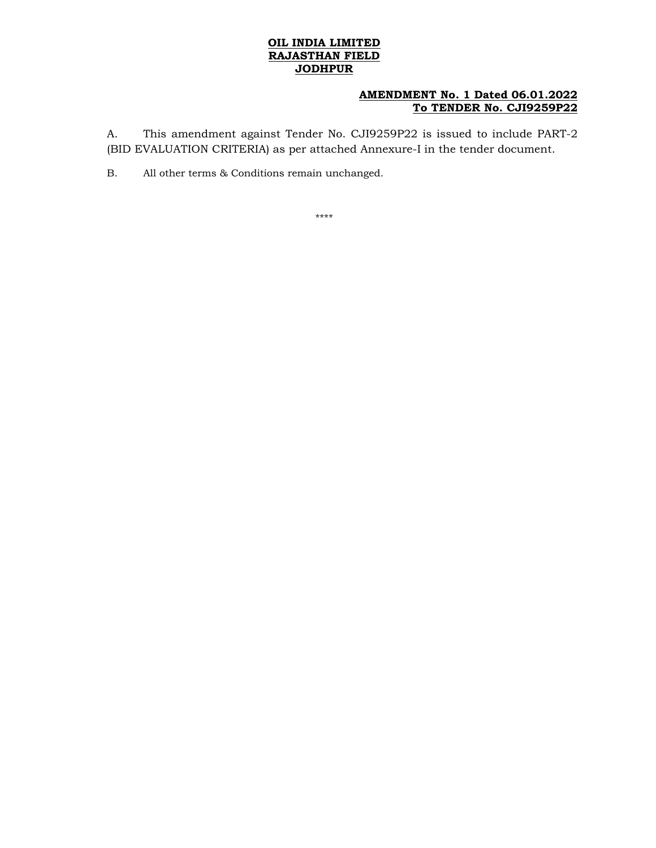#### **OIL INDIA LIMITED RAJASTHAN FIELD JODHPUR**

#### **AMENDMENT No. 1 Dated 06.01.2022 To TENDER No. CJI9259P22**

A. This amendment against Tender No. CJI9259P22 is issued to include PART-2 (BID EVALUATION CRITERIA) as per attached Annexure-I in the tender document.

B. All other terms & Conditions remain unchanged.

\*\*\*\*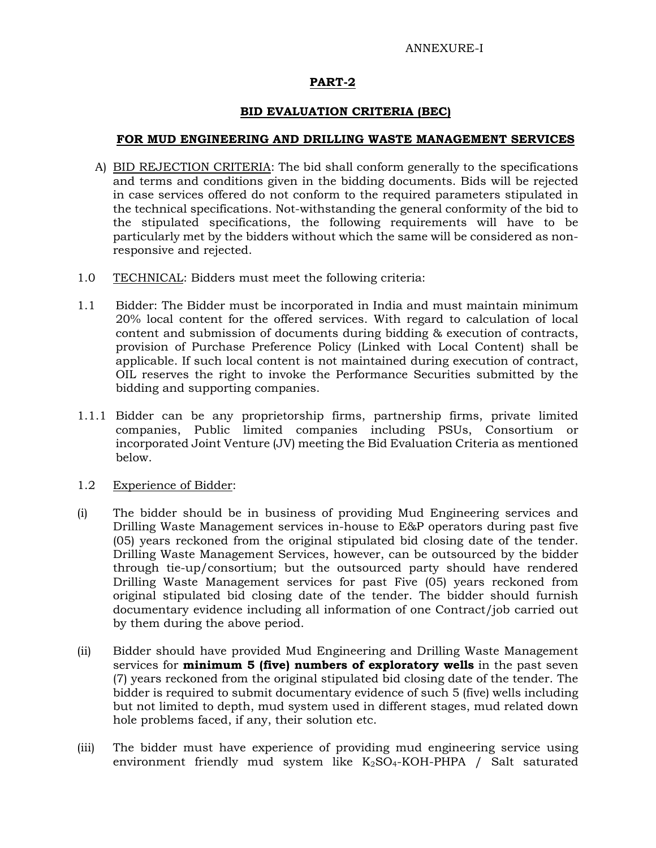#### ANNEXURE-I

## **PART-2**

## **BID EVALUATION CRITERIA (BEC)**

#### **FOR MUD ENGINEERING AND DRILLING WASTE MANAGEMENT SERVICES**

- A) BID REJECTION CRITERIA: The bid shall conform generally to the specifications and terms and conditions given in the bidding documents. Bids will be rejected in case services offered do not conform to the required parameters stipulated in the technical specifications. Not-withstanding the general conformity of the bid to the stipulated specifications, the following requirements will have to be particularly met by the bidders without which the same will be considered as nonresponsive and rejected.
- 1.0 TECHNICAL: Bidders must meet the following criteria:
- 1.1 Bidder: The Bidder must be incorporated in India and must maintain minimum 20% local content for the offered services. With regard to calculation of local content and submission of documents during bidding & execution of contracts, provision of Purchase Preference Policy (Linked with Local Content) shall be applicable. If such local content is not maintained during execution of contract, OIL reserves the right to invoke the Performance Securities submitted by the bidding and supporting companies.
- 1.1.1 Bidder can be any proprietorship firms, partnership firms, private limited companies, Public limited companies including PSUs, Consortium or incorporated Joint Venture (JV) meeting the Bid Evaluation Criteria as mentioned below.
- 1.2 Experience of Bidder:
- (i) The bidder should be in business of providing Mud Engineering services and Drilling Waste Management services in-house to E&P operators during past five (05) years reckoned from the original stipulated bid closing date of the tender. Drilling Waste Management Services, however, can be outsourced by the bidder through tie-up/consortium; but the outsourced party should have rendered Drilling Waste Management services for past Five (05) years reckoned from original stipulated bid closing date of the tender. The bidder should furnish documentary evidence including all information of one Contract/job carried out by them during the above period.
- (ii) Bidder should have provided Mud Engineering and Drilling Waste Management services for **minimum 5 (five) numbers of exploratory wells** in the past seven (7) years reckoned from the original stipulated bid closing date of the tender. The bidder is required to submit documentary evidence of such 5 (five) wells including but not limited to depth, mud system used in different stages, mud related down hole problems faced, if any, their solution etc.
- (iii) The bidder must have experience of providing mud engineering service using environment friendly mud system like  $K_2SO_4$ -KOH-PHPA / Salt saturated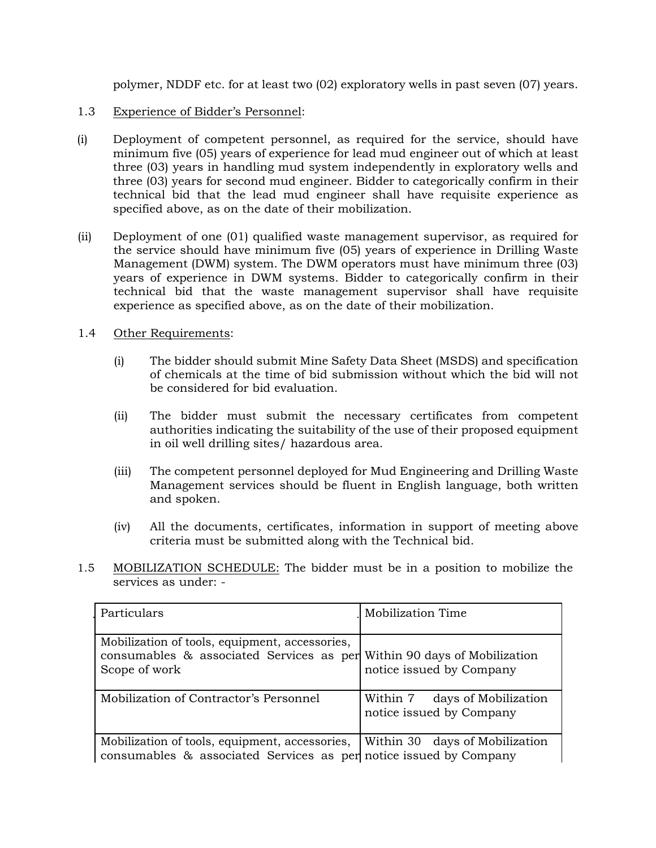polymer, NDDF etc. for at least two (02) exploratory wells in past seven (07) years.

- 1.3 Experience of Bidder's Personnel:
- (i) Deployment of competent personnel, as required for the service, should have minimum five (05) years of experience for lead mud engineer out of which at least three (03) years in handling mud system independently in exploratory wells and three (03) years for second mud engineer. Bidder to categorically confirm in their technical bid that the lead mud engineer shall have requisite experience as specified above, as on the date of their mobilization.
- (ii) Deployment of one (01) qualified waste management supervisor, as required for the service should have minimum five (05) years of experience in Drilling Waste Management (DWM) system. The DWM operators must have minimum three (03) years of experience in DWM systems. Bidder to categorically confirm in their technical bid that the waste management supervisor shall have requisite experience as specified above, as on the date of their mobilization.
- 1.4 Other Requirements:
	- (i) The bidder should submit Mine Safety Data Sheet (MSDS) and specification of chemicals at the time of bid submission without which the bid will not be considered for bid evaluation.
	- (ii) The bidder must submit the necessary certificates from competent authorities indicating the suitability of the use of their proposed equipment in oil well drilling sites/ hazardous area.
	- (iii) The competent personnel deployed for Mud Engineering and Drilling Waste Management services should be fluent in English language, both written and spoken.
	- (iv) All the documents, certificates, information in support of meeting above criteria must be submitted along with the Technical bid.
- 1.5 MOBILIZATION SCHEDULE: The bidder must be in a position to mobilize the services as under: -

| Particulars                                                                                                                                | <b>Mobilization Time</b>                                     |
|--------------------------------------------------------------------------------------------------------------------------------------------|--------------------------------------------------------------|
| Mobilization of tools, equipment, accessories,<br>consumables & associated Services as per Within 90 days of Mobilization<br>Scope of work | notice issued by Company                                     |
| Mobilization of Contractor's Personnel                                                                                                     | days of Mobilization<br>Within 7<br>notice issued by Company |
| Mobilization of tools, equipment, accessories,<br>consumables & associated Services as per notice issued by Company                        | Within 30 days of Mobilization                               |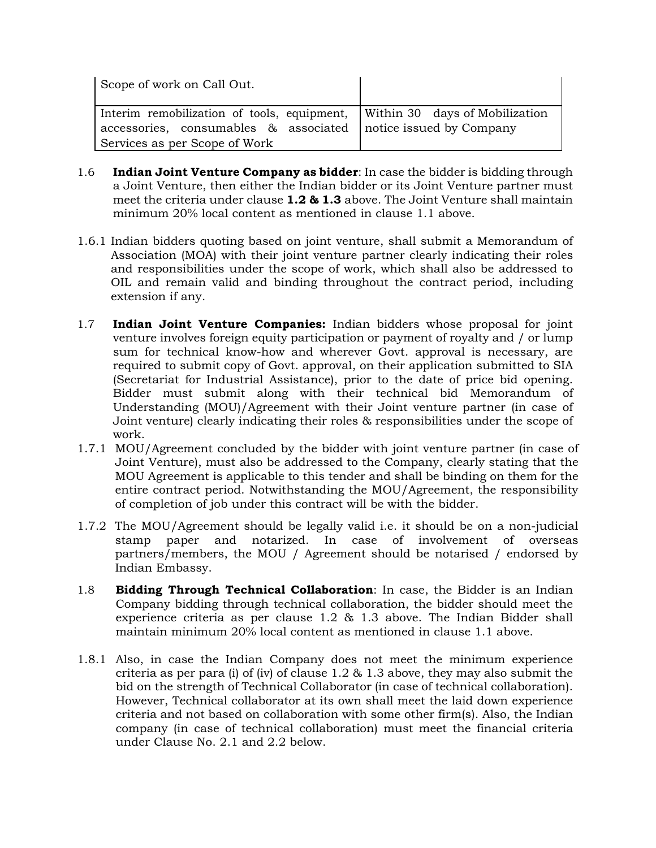| Scope of work on Call Out.                                                           |                                                            |
|--------------------------------------------------------------------------------------|------------------------------------------------------------|
| Interim remobilization of tools, equipment,<br>accessories, consumables & associated | Within 30 days of Mobilization<br>notice issued by Company |
| Services as per Scope of Work                                                        |                                                            |

- 1.6 **Indian Joint Venture Company as bidder**: In case the bidder is bidding through a Joint Venture, then either the Indian bidder or its Joint Venture partner must meet the criteria under clause **1.2 & 1.3** above. The Joint Venture shall maintain minimum 20% local content as mentioned in clause 1.1 above.
- 1.6.1 Indian bidders quoting based on joint venture, shall submit a Memorandum of Association (MOA) with their joint venture partner clearly indicating their roles and responsibilities under the scope of work, which shall also be addressed to OIL and remain valid and binding throughout the contract period, including extension if any.
- 1.7 **Indian Joint Venture Companies:** Indian bidders whose proposal for joint venture involves foreign equity participation or payment of royalty and / or lump sum for technical know-how and wherever Govt. approval is necessary, are required to submit copy of Govt. approval, on their application submitted to SIA (Secretariat for Industrial Assistance), prior to the date of price bid opening. Bidder must submit along with their technical bid Memorandum of Understanding (MOU)/Agreement with their Joint venture partner (in case of Joint venture) clearly indicating their roles & responsibilities under the scope of work.
- 1.7.1 MOU/Agreement concluded by the bidder with joint venture partner (in case of Joint Venture), must also be addressed to the Company, clearly stating that the MOU Agreement is applicable to this tender and shall be binding on them for the entire contract period. Notwithstanding the MOU/Agreement, the responsibility of completion of job under this contract will be with the bidder.
- 1.7.2 The MOU/Agreement should be legally valid i.e. it should be on a non-judicial stamp paper and notarized. In case of involvement of overseas partners/members, the MOU / Agreement should be notarised / endorsed by Indian Embassy.
- 1.8 **Bidding Through Technical Collaboration**: In case, the Bidder is an Indian Company bidding through technical collaboration, the bidder should meet the experience criteria as per clause 1.2 & 1.3 above. The Indian Bidder shall maintain minimum 20% local content as mentioned in clause 1.1 above.
- 1.8.1 Also, in case the Indian Company does not meet the minimum experience criteria as per para (i) of (iv) of clause 1.2 & 1.3 above, they may also submit the bid on the strength of Technical Collaborator (in case of technical collaboration). However, Technical collaborator at its own shall meet the laid down experience criteria and not based on collaboration with some other firm(s). Also, the Indian company (in case of technical collaboration) must meet the financial criteria under Clause No. 2.1 and 2.2 below.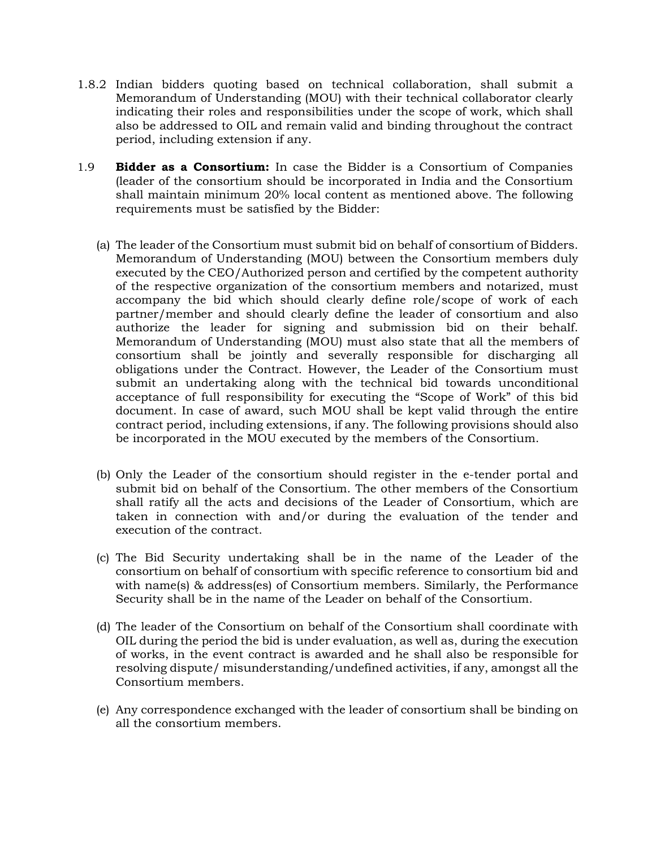- 1.8.2 Indian bidders quoting based on technical collaboration, shall submit a Memorandum of Understanding (MOU) with their technical collaborator clearly indicating their roles and responsibilities under the scope of work, which shall also be addressed to OIL and remain valid and binding throughout the contract period, including extension if any.
- 1.9 **Bidder as a Consortium:** In case the Bidder is a Consortium of Companies (leader of the consortium should be incorporated in India and the Consortium shall maintain minimum 20% local content as mentioned above. The following requirements must be satisfied by the Bidder:
	- (a) The leader of the Consortium must submit bid on behalf of consortium of Bidders. Memorandum of Understanding (MOU) between the Consortium members duly executed by the CEO/Authorized person and certified by the competent authority of the respective organization of the consortium members and notarized, must accompany the bid which should clearly define role/scope of work of each partner/member and should clearly define the leader of consortium and also authorize the leader for signing and submission bid on their behalf. Memorandum of Understanding (MOU) must also state that all the members of consortium shall be jointly and severally responsible for discharging all obligations under the Contract. However, the Leader of the Consortium must submit an undertaking along with the technical bid towards unconditional acceptance of full responsibility for executing the "Scope of Work" of this bid document. In case of award, such MOU shall be kept valid through the entire contract period, including extensions, if any. The following provisions should also be incorporated in the MOU executed by the members of the Consortium.
	- (b) Only the Leader of the consortium should register in the e-tender portal and submit bid on behalf of the Consortium. The other members of the Consortium shall ratify all the acts and decisions of the Leader of Consortium, which are taken in connection with and/or during the evaluation of the tender and execution of the contract.
	- (c) The Bid Security undertaking shall be in the name of the Leader of the consortium on behalf of consortium with specific reference to consortium bid and with name(s) & address(es) of Consortium members. Similarly, the Performance Security shall be in the name of the Leader on behalf of the Consortium.
	- (d) The leader of the Consortium on behalf of the Consortium shall coordinate with OIL during the period the bid is under evaluation, as well as, during the execution of works, in the event contract is awarded and he shall also be responsible for resolving dispute/ misunderstanding/undefined activities, if any, amongst all the Consortium members.
	- (e) Any correspondence exchanged with the leader of consortium shall be binding on all the consortium members.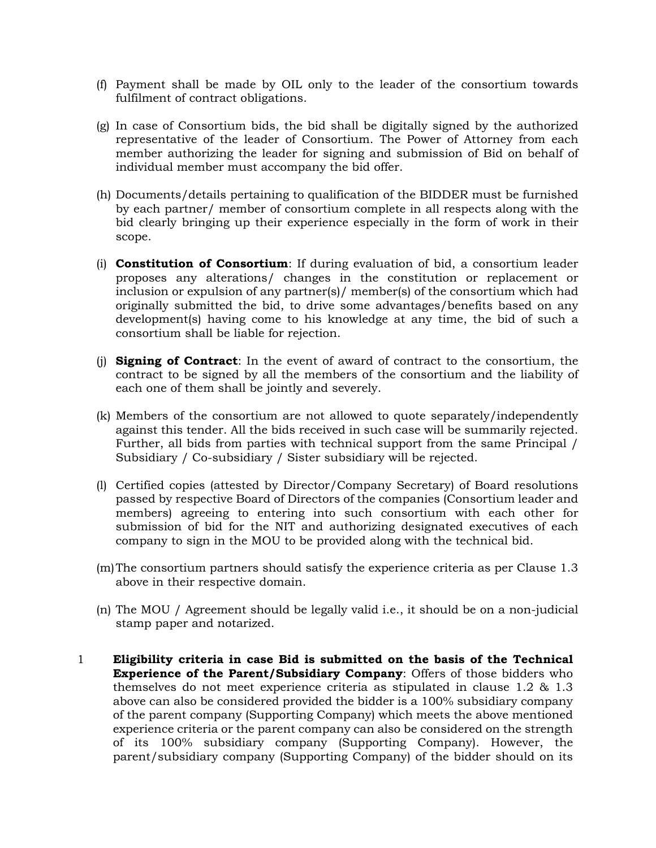- (f) Payment shall be made by OIL only to the leader of the consortium towards fulfilment of contract obligations.
- (g) In case of Consortium bids, the bid shall be digitally signed by the authorized representative of the leader of Consortium. The Power of Attorney from each member authorizing the leader for signing and submission of Bid on behalf of individual member must accompany the bid offer.
- (h) Documents/details pertaining to qualification of the BIDDER must be furnished by each partner/ member of consortium complete in all respects along with the bid clearly bringing up their experience especially in the form of work in their scope.
- (i) **Constitution of Consortium**: If during evaluation of bid, a consortium leader proposes any alterations/ changes in the constitution or replacement or inclusion or expulsion of any partner(s)/ member(s) of the consortium which had originally submitted the bid, to drive some advantages/benefits based on any development(s) having come to his knowledge at any time, the bid of such a consortium shall be liable for rejection.
- (j) **Signing of Contract**: In the event of award of contract to the consortium, the contract to be signed by all the members of the consortium and the liability of each one of them shall be jointly and severely.
- (k) Members of the consortium are not allowed to quote separately/independently against this tender. All the bids received in such case will be summarily rejected. Further, all bids from parties with technical support from the same Principal / Subsidiary / Co-subsidiary / Sister subsidiary will be rejected.
- (l) Certified copies (attested by Director/Company Secretary) of Board resolutions passed by respective Board of Directors of the companies (Consortium leader and members) agreeing to entering into such consortium with each other for submission of bid for the NIT and authorizing designated executives of each company to sign in the MOU to be provided along with the technical bid.
- (m)The consortium partners should satisfy the experience criteria as per Clause 1.3 above in their respective domain.
- (n) The MOU / Agreement should be legally valid i.e., it should be on a non-judicial stamp paper and notarized.
- 1 **Eligibility criteria in case Bid is submitted on the basis of the Technical Experience of the Parent/Subsidiary Company**: Offers of those bidders who themselves do not meet experience criteria as stipulated in clause 1.2 & 1.3 above can also be considered provided the bidder is a 100% subsidiary company of the parent company (Supporting Company) which meets the above mentioned experience criteria or the parent company can also be considered on the strength of its 100% subsidiary company (Supporting Company). However, the parent/subsidiary company (Supporting Company) of the bidder should on its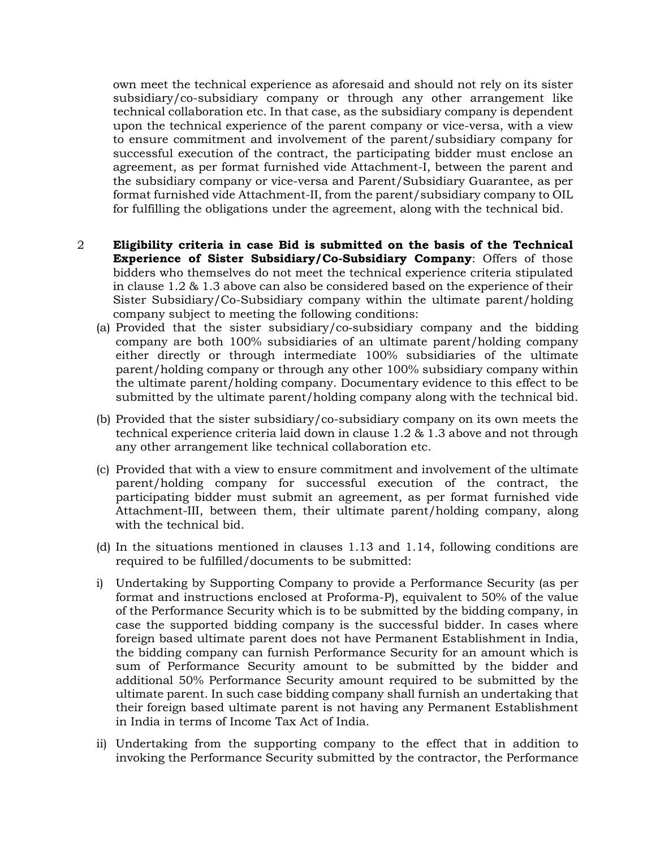own meet the technical experience as aforesaid and should not rely on its sister subsidiary/co-subsidiary company or through any other arrangement like technical collaboration etc. In that case, as the subsidiary company is dependent upon the technical experience of the parent company or vice-versa, with a view to ensure commitment and involvement of the parent/subsidiary company for successful execution of the contract, the participating bidder must enclose an agreement, as per format furnished vide Attachment-I, between the parent and the subsidiary company or vice-versa and Parent/Subsidiary Guarantee, as per format furnished vide Attachment-II, from the parent/subsidiary company to OIL for fulfilling the obligations under the agreement, along with the technical bid.

- 2 **Eligibility criteria in case Bid is submitted on the basis of the Technical Experience of Sister Subsidiary/Co-Subsidiary Company**: Offers of those bidders who themselves do not meet the technical experience criteria stipulated in clause 1.2 & 1.3 above can also be considered based on the experience of their Sister Subsidiary/Co-Subsidiary company within the ultimate parent/holding company subject to meeting the following conditions:
	- (a) Provided that the sister subsidiary/co‐subsidiary company and the bidding company are both 100% subsidiaries of an ultimate parent/holding company either directly or through intermediate 100% subsidiaries of the ultimate parent/holding company or through any other 100% subsidiary company within the ultimate parent/holding company. Documentary evidence to this effect to be submitted by the ultimate parent/holding company along with the technical bid.
	- (b) Provided that the sister subsidiary/co-subsidiary company on its own meets the technical experience criteria laid down in clause 1.2 & 1.3 above and not through any other arrangement like technical collaboration etc.
	- (c) Provided that with a view to ensure commitment and involvement of the ultimate parent/holding company for successful execution of the contract, the participating bidder must submit an agreement, as per format furnished vide Attachment-III, between them, their ultimate parent/holding company, along with the technical bid.
	- (d) In the situations mentioned in clauses 1.13 and 1.14, following conditions are required to be fulfilled/documents to be submitted:
	- i) Undertaking by Supporting Company to provide a Performance Security (as per format and instructions enclosed at Proforma-P), equivalent to 50% of the value of the Performance Security which is to be submitted by the bidding company, in case the supported bidding company is the successful bidder. In cases where foreign based ultimate parent does not have Permanent Establishment in India, the bidding company can furnish Performance Security for an amount which is sum of Performance Security amount to be submitted by the bidder and additional 50% Performance Security amount required to be submitted by the ultimate parent. In such case bidding company shall furnish an undertaking that their foreign based ultimate parent is not having any Permanent Establishment in India in terms of Income Tax Act of India.
	- ii) Undertaking from the supporting company to the effect that in addition to invoking the Performance Security submitted by the contractor, the Performance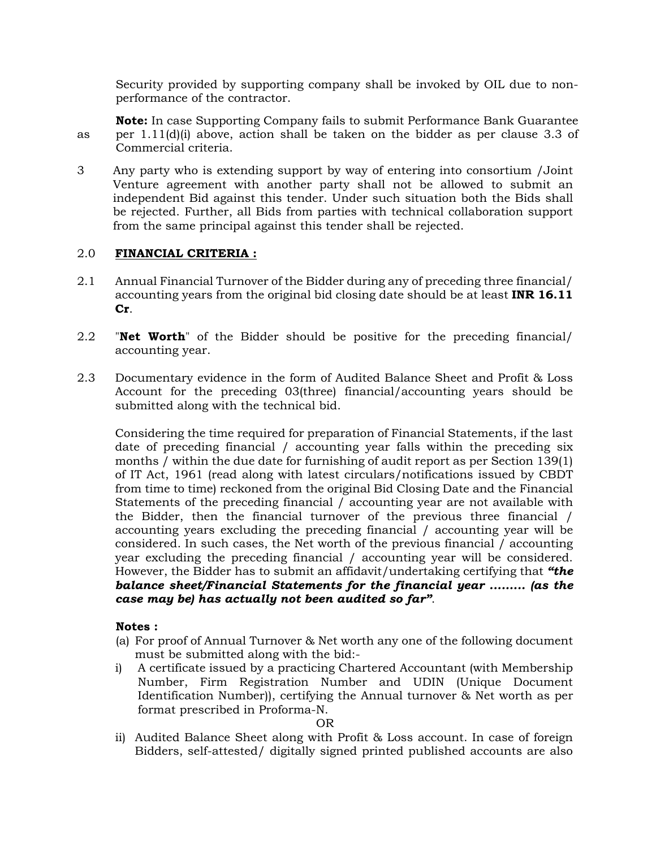Security provided by supporting company shall be invoked by OIL due to nonperformance of the contractor.

 **Note:** In case Supporting Company fails to submit Performance Bank Guarantee as per  $1.11(d)(i)$  above, action shall be taken on the bidder as per clause 3.3 of Commercial criteria.

3 Any party who is extending support by way of entering into consortium /Joint Venture agreement with another party shall not be allowed to submit an independent Bid against this tender. Under such situation both the Bids shall be rejected. Further, all Bids from parties with technical collaboration support from the same principal against this tender shall be rejected.

## 2.0 **FINANCIAL CRITERIA :**

- 2.1 Annual Financial Turnover of the Bidder during any of preceding three financial/ accounting years from the original bid closing date should be at least **INR 16.11 Cr**.
- 2.2 "**Net Worth**" of the Bidder should be positive for the preceding financial/ accounting year.
- 2.3 Documentary evidence in the form of Audited Balance Sheet and Profit & Loss Account for the preceding 03(three) financial/accounting years should be submitted along with the technical bid.

Considering the time required for preparation of Financial Statements, if the last date of preceding financial / accounting year falls within the preceding six months / within the due date for furnishing of audit report as per Section 139(1) of IT Act, 1961 (read along with latest circulars/notifications issued by CBDT from time to time) reckoned from the original Bid Closing Date and the Financial Statements of the preceding financial / accounting year are not available with the Bidder, then the financial turnover of the previous three financial / accounting years excluding the preceding financial / accounting year will be considered. In such cases, the Net worth of the previous financial / accounting year excluding the preceding financial / accounting year will be considered. However, the Bidder has to submit an affidavit/undertaking certifying that *"the balance sheet/Financial Statements for the financial year ......... (as the case may be) has actually not been audited so far"*.

#### **Notes :**

- (a) For proof of Annual Turnover & Net worth any one of the following document must be submitted along with the bid:-
- i) A certificate issued by a practicing Chartered Accountant (with Membership Number, Firm Registration Number and UDIN (Unique Document Identification Number)), certifying the Annual turnover & Net worth as per format prescribed in Proforma-N.

#### OR

ii) Audited Balance Sheet along with Profit & Loss account. In case of foreign Bidders, self-attested/ digitally signed printed published accounts are also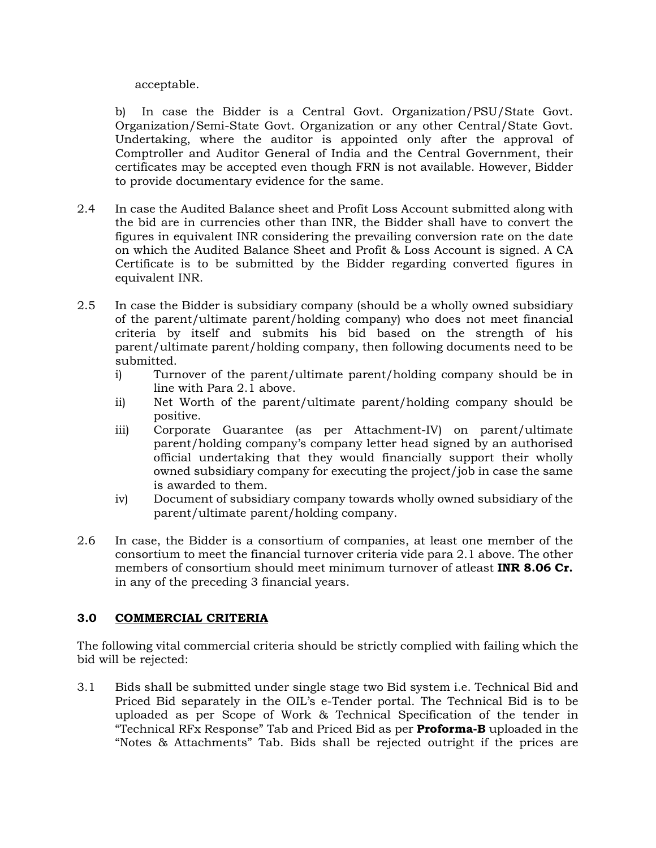### acceptable.

b) In case the Bidder is a Central Govt. Organization/PSU/State Govt. Organization/Semi-State Govt. Organization or any other Central/State Govt. Undertaking, where the auditor is appointed only after the approval of Comptroller and Auditor General of India and the Central Government, their certificates may be accepted even though FRN is not available. However, Bidder to provide documentary evidence for the same.

- 2.4 In case the Audited Balance sheet and Profit Loss Account submitted along with the bid are in currencies other than INR, the Bidder shall have to convert the figures in equivalent INR considering the prevailing conversion rate on the date on which the Audited Balance Sheet and Profit & Loss Account is signed. A CA Certificate is to be submitted by the Bidder regarding converted figures in equivalent INR.
- 2.5 In case the Bidder is subsidiary company (should be a wholly owned subsidiary of the parent/ultimate parent/holding company) who does not meet financial criteria by itself and submits his bid based on the strength of his parent/ultimate parent/holding company, then following documents need to be submitted.
	- i) Turnover of the parent/ultimate parent/holding company should be in line with Para 2.1 above.
	- ii) Net Worth of the parent/ultimate parent/holding company should be positive.
	- iii) Corporate Guarantee (as per Attachment-IV) on parent/ultimate parent/holding company's company letter head signed by an authorised official undertaking that they would financially support their wholly owned subsidiary company for executing the project/job in case the same is awarded to them.
	- iv) Document of subsidiary company towards wholly owned subsidiary of the parent/ultimate parent/holding company.
- 2.6 In case, the Bidder is a consortium of companies, at least one member of the consortium to meet the financial turnover criteria vide para 2.1 above. The other members of consortium should meet minimum turnover of atleast **INR 8.06 Cr.** in any of the preceding 3 financial years.

# **3.0 COMMERCIAL CRITERIA**

The following vital commercial criteria should be strictly complied with failing which the bid will be rejected:

3.1 Bids shall be submitted under single stage two Bid system i.e. Technical Bid and Priced Bid separately in the OIL's e-Tender portal. The Technical Bid is to be uploaded as per Scope of Work & Technical Specification of the tender in "Technical RFx Response" Tab and Priced Bid as per **Proforma-B** uploaded in the "Notes & Attachments" Tab. Bids shall be rejected outright if the prices are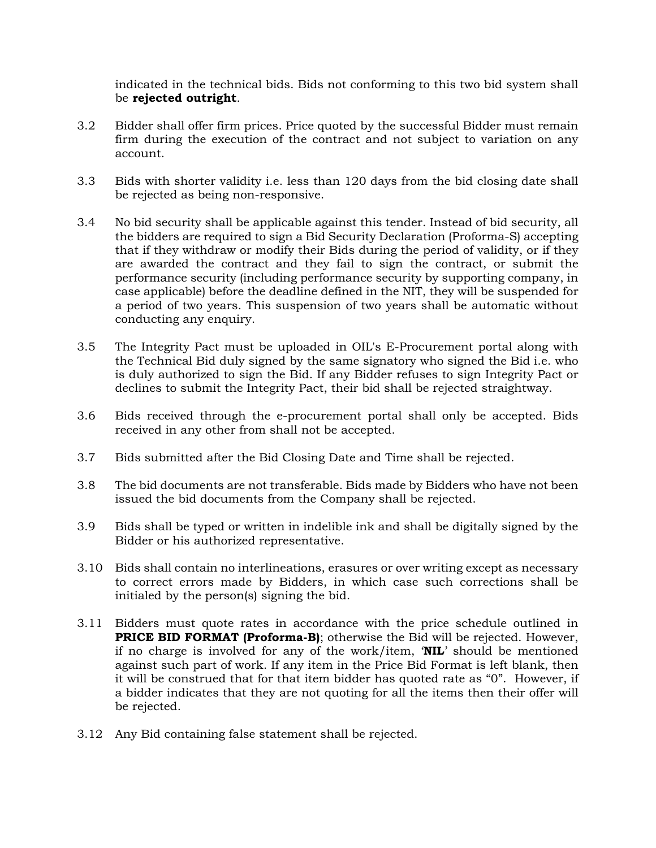indicated in the technical bids. Bids not conforming to this two bid system shall be **rejected outright**.

- 3.2 Bidder shall offer firm prices. Price quoted by the successful Bidder must remain firm during the execution of the contract and not subject to variation on any account.
- 3.3 Bids with shorter validity i.e. less than 120 days from the bid closing date shall be rejected as being non-responsive.
- 3.4 No bid security shall be applicable against this tender. Instead of bid security, all the bidders are required to sign a Bid Security Declaration (Proforma-S) accepting that if they withdraw or modify their Bids during the period of validity, or if they are awarded the contract and they fail to sign the contract, or submit the performance security (including performance security by supporting company, in case applicable) before the deadline defined in the NIT, they will be suspended for a period of two years. This suspension of two years shall be automatic without conducting any enquiry.
- 3.5 The Integrity Pact must be uploaded in OIL's E-Procurement portal along with the Technical Bid duly signed by the same signatory who signed the Bid i.e. who is duly authorized to sign the Bid. If any Bidder refuses to sign Integrity Pact or declines to submit the Integrity Pact, their bid shall be rejected straightway.
- 3.6 Bids received through the e-procurement portal shall only be accepted. Bids received in any other from shall not be accepted.
- 3.7 Bids submitted after the Bid Closing Date and Time shall be rejected.
- 3.8 The bid documents are not transferable. Bids made by Bidders who have not been issued the bid documents from the Company shall be rejected.
- 3.9 Bids shall be typed or written in indelible ink and shall be digitally signed by the Bidder or his authorized representative.
- 3.10 Bids shall contain no interlineations, erasures or over writing except as necessary to correct errors made by Bidders, in which case such corrections shall be initialed by the person(s) signing the bid.
- 3.11 Bidders must quote rates in accordance with the price schedule outlined in **PRICE BID FORMAT (Proforma-B)**; otherwise the Bid will be rejected. However, if no charge is involved for any of the work/item, '**NIL**' should be mentioned against such part of work. If any item in the Price Bid Format is left blank, then it will be construed that for that item bidder has quoted rate as "0". However, if a bidder indicates that they are not quoting for all the items then their offer will be rejected.
- 3.12 Any Bid containing false statement shall be rejected.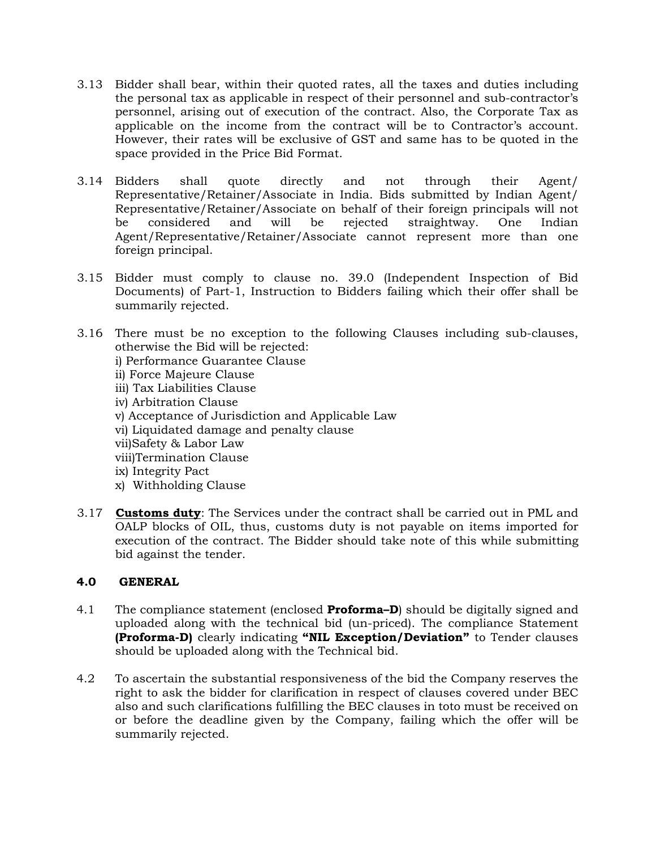- 3.13 Bidder shall bear, within their quoted rates, all the taxes and duties including the personal tax as applicable in respect of their personnel and sub-contractor's personnel, arising out of execution of the contract. Also, the Corporate Tax as applicable on the income from the contract will be to Contractor's account. However, their rates will be exclusive of GST and same has to be quoted in the space provided in the Price Bid Format.
- 3.14 Bidders shall quote directly and not through their Agent/ Representative/Retainer/Associate in India. Bids submitted by Indian Agent/ Representative/Retainer/Associate on behalf of their foreign principals will not be considered and will be rejected straightway. One Indian Agent/Representative/Retainer/Associate cannot represent more than one foreign principal.
- 3.15 Bidder must comply to clause no. 39.0 (Independent Inspection of Bid Documents) of Part-1, Instruction to Bidders failing which their offer shall be summarily rejected.

3.16 There must be no exception to the following Clauses including sub-clauses, otherwise the Bid will be rejected: i) Performance Guarantee Clause ii) Force Majeure Clause iii) Tax Liabilities Clause iv) Arbitration Clause v) Acceptance of Jurisdiction and Applicable Law vi) Liquidated damage and penalty clause vii)Safety & Labor Law viii)Termination Clause ix) Integrity Pact x) Withholding Clause

3.17 **Customs duty**: The Services under the contract shall be carried out in PML and OALP blocks of OIL, thus, customs duty is not payable on items imported for execution of the contract. The Bidder should take note of this while submitting bid against the tender.

## **4.0 GENERAL**

- 4.1 The compliance statement (enclosed **Proforma–D**) should be digitally signed and uploaded along with the technical bid (un-priced). The compliance Statement **(Proforma-D)** clearly indicating **"NIL Exception/Deviation"** to Tender clauses should be uploaded along with the Technical bid.
- 4.2 To ascertain the substantial responsiveness of the bid the Company reserves the right to ask the bidder for clarification in respect of clauses covered under BEC also and such clarifications fulfilling the BEC clauses in toto must be received on or before the deadline given by the Company, failing which the offer will be summarily rejected.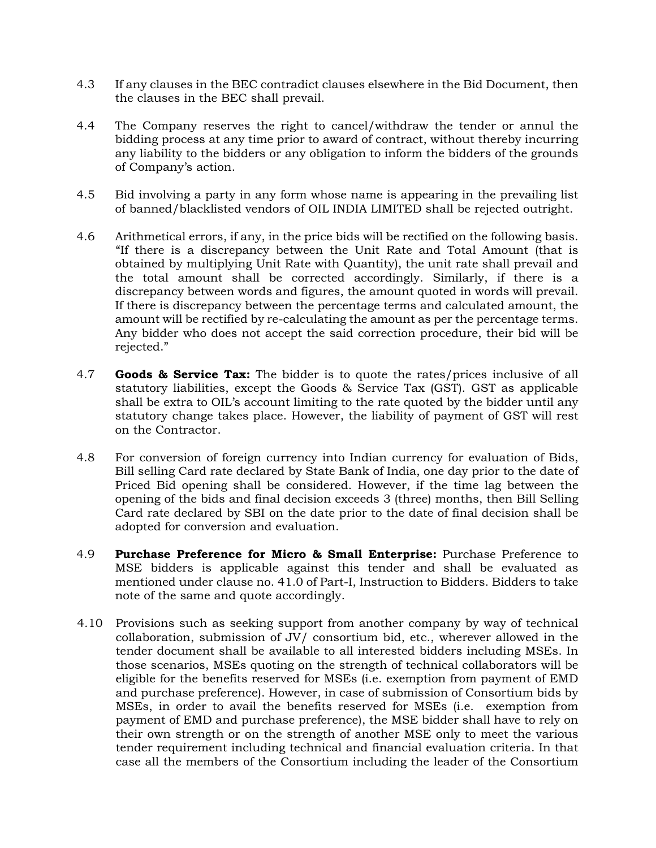- 4.3 If any clauses in the BEC contradict clauses elsewhere in the Bid Document, then the clauses in the BEC shall prevail.
- 4.4 The Company reserves the right to cancel/withdraw the tender or annul the bidding process at any time prior to award of contract, without thereby incurring any liability to the bidders or any obligation to inform the bidders of the grounds of Company's action.
- 4.5 Bid involving a party in any form whose name is appearing in the prevailing list of banned/blacklisted vendors of OIL INDIA LIMITED shall be rejected outright.
- 4.6 Arithmetical errors, if any, in the price bids will be rectified on the following basis. "If there is a discrepancy between the Unit Rate and Total Amount (that is obtained by multiplying Unit Rate with Quantity), the unit rate shall prevail and the total amount shall be corrected accordingly. Similarly, if there is a discrepancy between words and figures, the amount quoted in words will prevail. If there is discrepancy between the percentage terms and calculated amount, the amount will be rectified by re-calculating the amount as per the percentage terms. Any bidder who does not accept the said correction procedure, their bid will be rejected."
- 4.7 **Goods & Service Tax:** The bidder is to quote the rates/prices inclusive of all statutory liabilities, except the Goods & Service Tax (GST). GST as applicable shall be extra to OIL's account limiting to the rate quoted by the bidder until any statutory change takes place. However, the liability of payment of GST will rest on the Contractor.
- 4.8 For conversion of foreign currency into Indian currency for evaluation of Bids, Bill selling Card rate declared by State Bank of India, one day prior to the date of Priced Bid opening shall be considered. However, if the time lag between the opening of the bids and final decision exceeds 3 (three) months, then Bill Selling Card rate declared by SBI on the date prior to the date of final decision shall be adopted for conversion and evaluation.
- 4.9 **Purchase Preference for Micro & Small Enterprise:** Purchase Preference to MSE bidders is applicable against this tender and shall be evaluated as mentioned under clause no. 41.0 of Part-I, Instruction to Bidders. Bidders to take note of the same and quote accordingly.
- 4.10 Provisions such as seeking support from another company by way of technical collaboration, submission of JV/ consortium bid, etc., wherever allowed in the tender document shall be available to all interested bidders including MSEs. In those scenarios, MSEs quoting on the strength of technical collaborators will be eligible for the benefits reserved for MSEs (i.e. exemption from payment of EMD and purchase preference). However, in case of submission of Consortium bids by MSEs, in order to avail the benefits reserved for MSEs (i.e. exemption from payment of EMD and purchase preference), the MSE bidder shall have to rely on their own strength or on the strength of another MSE only to meet the various tender requirement including technical and financial evaluation criteria. In that case all the members of the Consortium including the leader of the Consortium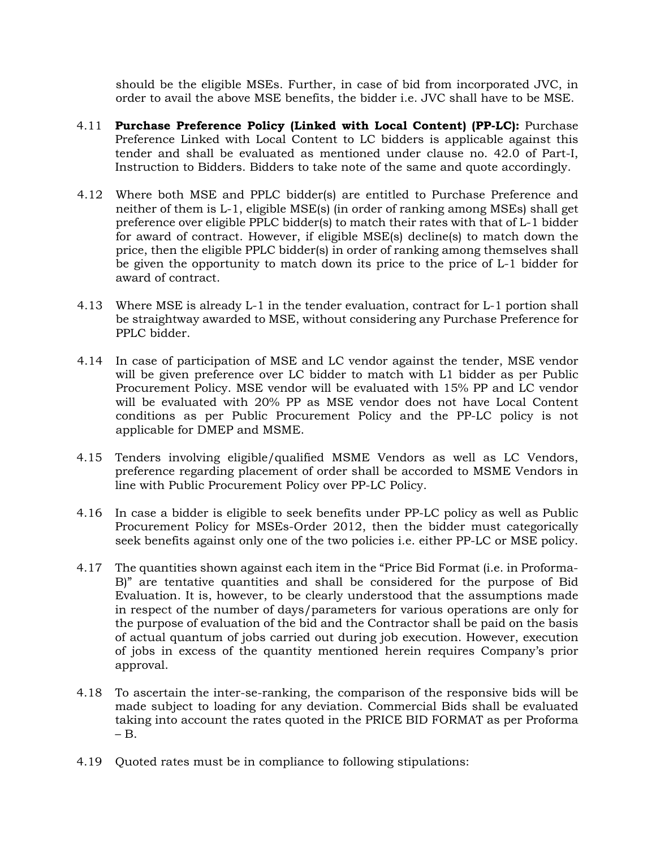should be the eligible MSEs. Further, in case of bid from incorporated JVC, in order to avail the above MSE benefits, the bidder i.e. JVC shall have to be MSE.

- 4.11 **Purchase Preference Policy (Linked with Local Content) (PP-LC):** Purchase Preference Linked with Local Content to LC bidders is applicable against this tender and shall be evaluated as mentioned under clause no. 42.0 of Part-I, Instruction to Bidders. Bidders to take note of the same and quote accordingly.
- 4.12 Where both MSE and PPLC bidder(s) are entitled to Purchase Preference and neither of them is L-1, eligible MSE(s) (in order of ranking among MSEs) shall get preference over eligible PPLC bidder(s) to match their rates with that of L-1 bidder for award of contract. However, if eligible MSE(s) decline(s) to match down the price, then the eligible PPLC bidder(s) in order of ranking among themselves shall be given the opportunity to match down its price to the price of L-1 bidder for award of contract.
- 4.13 Where MSE is already L-1 in the tender evaluation, contract for L-1 portion shall be straightway awarded to MSE, without considering any Purchase Preference for PPLC bidder.
- 4.14 In case of participation of MSE and LC vendor against the tender, MSE vendor will be given preference over LC bidder to match with L1 bidder as per Public Procurement Policy. MSE vendor will be evaluated with 15% PP and LC vendor will be evaluated with 20% PP as MSE vendor does not have Local Content conditions as per Public Procurement Policy and the PP-LC policy is not applicable for DMEP and MSME.
- 4.15 Tenders involving eligible/qualified MSME Vendors as well as LC Vendors, preference regarding placement of order shall be accorded to MSME Vendors in line with Public Procurement Policy over PP-LC Policy.
- 4.16 In case a bidder is eligible to seek benefits under PP-LC policy as well as Public Procurement Policy for MSEs-Order 2012, then the bidder must categorically seek benefits against only one of the two policies i.e. either PP-LC or MSE policy.
- 4.17 The quantities shown against each item in the "Price Bid Format (i.e. in Proforma-B)" are tentative quantities and shall be considered for the purpose of Bid Evaluation. It is, however, to be clearly understood that the assumptions made in respect of the number of days/parameters for various operations are only for the purpose of evaluation of the bid and the Contractor shall be paid on the basis of actual quantum of jobs carried out during job execution. However, execution of jobs in excess of the quantity mentioned herein requires Company's prior approval.
- 4.18 To ascertain the inter-se-ranking, the comparison of the responsive bids will be made subject to loading for any deviation. Commercial Bids shall be evaluated taking into account the rates quoted in the PRICE BID FORMAT as per Proforma  $- B.$
- 4.19 Quoted rates must be in compliance to following stipulations: